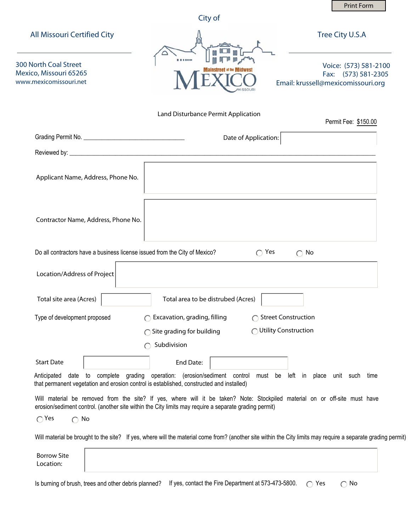|                                                                                                                                                              |                                                                                                                                                                                                                                     | <b>Print Form</b>                                                                  |
|--------------------------------------------------------------------------------------------------------------------------------------------------------------|-------------------------------------------------------------------------------------------------------------------------------------------------------------------------------------------------------------------------------------|------------------------------------------------------------------------------------|
|                                                                                                                                                              | City of                                                                                                                                                                                                                             |                                                                                    |
| <b>All Missouri Certified City</b>                                                                                                                           |                                                                                                                                                                                                                                     | Tree City U.S.A                                                                    |
| <b>300 North Coal Street</b><br>Mexico, Missouri 65265<br>www.mexicomissouri.net                                                                             |                                                                                                                                                                                                                                     | Voice: (573) 581-2100<br>Fax: (573) 581-2305<br>Email: krussell@mexicomissouri.org |
|                                                                                                                                                              | Land Disturbance Permit Application                                                                                                                                                                                                 | Permit Fee: \$150.00                                                               |
|                                                                                                                                                              | Date of Application:                                                                                                                                                                                                                |                                                                                    |
|                                                                                                                                                              |                                                                                                                                                                                                                                     |                                                                                    |
| Applicant Name, Address, Phone No.                                                                                                                           |                                                                                                                                                                                                                                     |                                                                                    |
| Contractor Name, Address, Phone No.                                                                                                                          |                                                                                                                                                                                                                                     |                                                                                    |
| Do all contractors have a business license issued from the City of Mexico?                                                                                   | $\bigcap$ Yes                                                                                                                                                                                                                       | $\bigcap$ No                                                                       |
| Location/Address of Project                                                                                                                                  |                                                                                                                                                                                                                                     |                                                                                    |
| Total site area (Acres)                                                                                                                                      | Total area to be distrubed (Acres)                                                                                                                                                                                                  |                                                                                    |
| Type of development proposed                                                                                                                                 | $\bigcap$ Excavation, grading, filling                                                                                                                                                                                              | ◯ Street Construction                                                              |
|                                                                                                                                                              | $\bigcap$ Site grading for building<br>∩                                                                                                                                                                                            | Utility Construction                                                               |
|                                                                                                                                                              | Subdivision                                                                                                                                                                                                                         |                                                                                    |
| <b>Start Date</b>                                                                                                                                            | End Date:                                                                                                                                                                                                                           |                                                                                    |
| Anticipated<br>date<br>that permanent vegetation and erosion control is established, constructed and installed)                                              | to complete grading operation: (erosion/sediment control                                                                                                                                                                            | must be left in place unit such time                                               |
|                                                                                                                                                              | Will material be removed from the site? If yes, where will it be taken? Note: Stockpiled material on or off-site must have<br>erosion/sediment control. (another site within the City limits may require a separate grading permit) |                                                                                    |
| $\bigcap$ Yes<br>No<br>$\bigcap$                                                                                                                             |                                                                                                                                                                                                                                     |                                                                                    |
|                                                                                                                                                              |                                                                                                                                                                                                                                     |                                                                                    |
| Will material be brought to the site? If yes, where will the material come from? (another site within the City limits may require a separate grading permit) |                                                                                                                                                                                                                                     |                                                                                    |